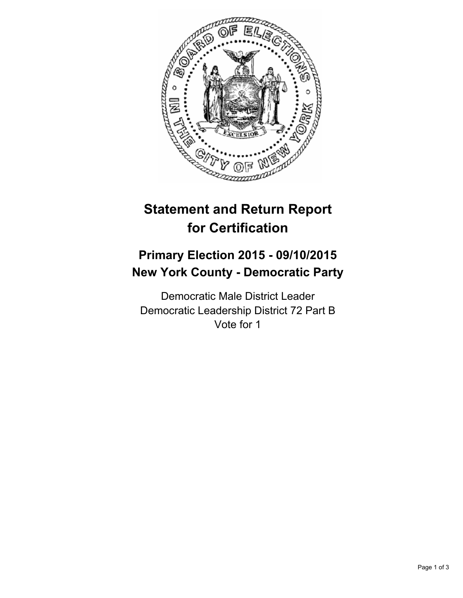

# **Statement and Return Report for Certification**

## **Primary Election 2015 - 09/10/2015 New York County - Democratic Party**

Democratic Male District Leader Democratic Leadership District 72 Part B Vote for 1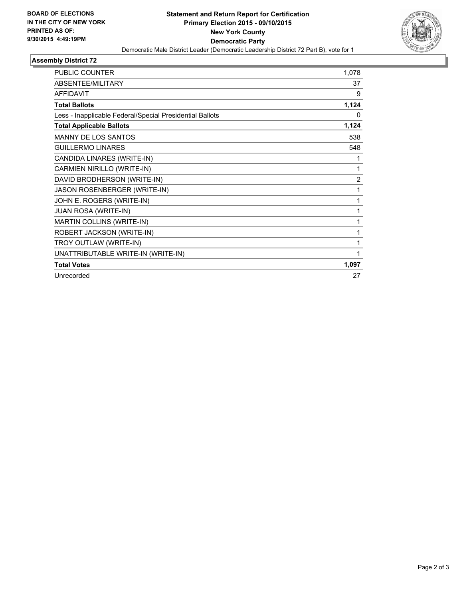

### **Assembly District 72**

| <b>PUBLIC COUNTER</b>                                    | 1,078 |
|----------------------------------------------------------|-------|
| ABSENTEE/MILITARY                                        | 37    |
| <b>AFFIDAVIT</b>                                         | 9     |
| <b>Total Ballots</b>                                     | 1,124 |
| Less - Inapplicable Federal/Special Presidential Ballots | 0     |
| <b>Total Applicable Ballots</b>                          | 1,124 |
| <b>MANNY DE LOS SANTOS</b>                               | 538   |
| <b>GUILLERMO LINARES</b>                                 | 548   |
| CANDIDA LINARES (WRITE-IN)                               | 1     |
| CARMIEN NIRILLO (WRITE-IN)                               | 1     |
| DAVID BRODHERSON (WRITE-IN)                              | 2     |
| JASON ROSENBERGER (WRITE-IN)                             | 1     |
| JOHN E. ROGERS (WRITE-IN)                                | 1     |
| <b>JUAN ROSA (WRITE-IN)</b>                              | 1     |
| MARTIN COLLINS (WRITE-IN)                                | 1     |
| ROBERT JACKSON (WRITE-IN)                                | 1     |
| TROY OUTLAW (WRITE-IN)                                   | 1     |
| UNATTRIBUTABLE WRITE-IN (WRITE-IN)                       | 1     |
| <b>Total Votes</b>                                       | 1,097 |
| Unrecorded                                               | 27    |